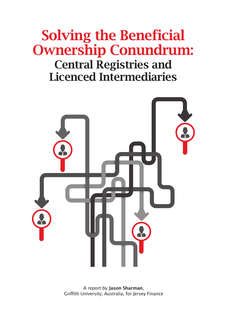# Solving the Beneficial Ownership Conundrum:

## Central Registries and Licenced Intermediaries



A report by Jason Sharman, Griffith University, Australia, for Jersey Finance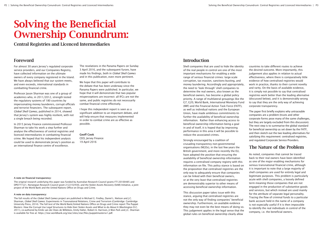# Solving the Beneficial Ownership Conundrum:

Central Registries and Licenced Intermediaries

#### Foreword

For almost 30 years Jersey's regulated corporate service providers, and our Companies Registry, have collected information on the ultimate owners of every company registered in the Island. We have always believed that our system meets, and even exceeds, international standards in combatting financial crime.

Professor Jason Sharman was one of a group of academics who, in 2011/2012, strength tested the regulatory systems of 180 countries by impersonating money launderers, corrupt officials and terrorist financiers. The subsequent report, *Global Shell Games*, published in 2014, showed that Jersey's system was highly resilient, with not a single breach being recorded.

In 2015 Jersey Finance commissioned Professor Sharman to take his work a step further and analyse the effectiveness of central registries and licenced intermediaries in combatting financial crime. We hoped that his independent analysis could be used to demonstrate Jersey's position as an international finance centre of excellence.

The revelations in the Panama Papers on Sunday 3 April 2016, and the subsequent furore, have made his findings, both in *Global Shell Games* and in this publication, even more pertinent.

We hope that this paper will contribute to the debate that has been underway since the Panama Papers were published. In particular, we hope that it will demonstrate that two popular misperceptions are incorrect: all IFCs are not the same, and public registries do not necessarily combat financial crime effectively.

I hope this independent report is seen as a significant addition to an important debate, and will help ensure that measures implemented in order to combat crime are as effective as possible.

Geoff Cook

CEO, Jersey Finance 19 April 2016

#### A note on financial transparency:

The original research underlying this paper was funded by Australian Research Council grants FT120100485 and DP0771521, Norwegian Research Council grant 212210/H30, and the Stolen Assets Recovery (StAR) Initiative, a joint project of the World Bank and the United Nations Office on Drugs and Crime.

#### A note on data transparency:

The full results of the *Global Shell Games* project are published in Michael G. Findley, Daniel L. Nielson and J.C. Sharman, *Global Shell Games*: Experiments in Transnational Relations, Crime and Terrorism (Cambridge: Cambridge University Press, 2014). The full text of the World Bank/United Nations Office on Drugs and Crime report The Puppet Masters: How the Corrupt Use Legal Structures to Hide their Stolen Assets and What to do About It (Washington D.C. 2011), co-authored by Emile van der Does de Willebois, Emily Halter, Robert A. Harrison, Ji Won Park and J.C. Sharman is available for free at: https://star.worldbank.org/star/sites/star/files/puppetmastersv1.pdf.

## Introduction

Shell companies that are used to hide the identity of the real people in control are one of the most important mechanisms for enabling a wide range of serious financial crimes: large-scale corruption, tax evasion, sanctions-busting, and money laundering. Accordingly and appropriately, the need to 'look through' shell companies to determine the real owners, also known as the beneficial owners, has become a global policy priority. A range of multilateral groupings like the G7, G20, World Bank, International Monetary Fund (IMF) and the Financial Action Task Force (FATF), as well as individual nations and the European Union, have made ambitious commitments to further the availability of beneficial ownership information. Rather than enhancing access to beneficial ownership information being a goal in and of itself, it is hoped that by improving performance in this area it will be possible to reduce the associated crimes.

Strongly encouraged by a coalition of crusading transparency non-governmental organisations (NGOs), in the last few years the British government, and more recently the EU, have adopted the position that ensuring the availability of beneficial ownership information requires a centralised company registry with this information on file. This policy stance is based on the proposition that centralised registries are the only way to adequately ensure that companies can be linked with their beneficial owners, or at the very least that centralised registries are demonstrably superior to other means of accessing beneficial ownership information.

This discussion paper takes issue with this stance, arguing that centralised registries are not the only way of finding companies' beneficial ownership. Furthermore, on available evidence they may not even be the best means of doing so. This judgement applies in the legal sense that the global rules on beneficial ownership clearly allow

countries to take different routes to achieve the desired outcome. More importantly, this judgement also applies in relation to actual effectiveness, where there is comparatively little evidence of how centralised registries would work in practice, thanks to their current novelty and rarity. On the basis of available evidence, it is simply not possible to say that centralised registries work better than the leading alternative (discussed below), and it is demonstrably wrong to say that they are the only way of achieving corporate transparency.

The paper first briefly explains why untraceable companies are a problem (trusts and other corporate forms pose many of the same challenges, but they are largely excluded from this discussion). The next step is to summarise the global standard for beneficial ownership as set down by the FATF, and then sketch out the two leading alternatives for satisfying this requirement: centralised registries, and regulated Corporate Service Providers.

#### The Nature of the Problem

As noted, companies that cannot be traced back to their real owners have been identified as one of the major enabling mechanisms for serious transnational financial crime, although it is important to note that a large majority of shell companies are used for entirely legal and legitimate purposes. This problem is particularly acute with shell companies, a loosely defined term meaning those companies that are not engaged in the production of substantive goods and services, but which instead are used mainly for the attribute of separate legal personality. Tracing the flow of criminal funds to a particular bank account held in the name of a company is not especially useful if it is then impossible to identify the real individuals in control of the company, i.e. the beneficial owners.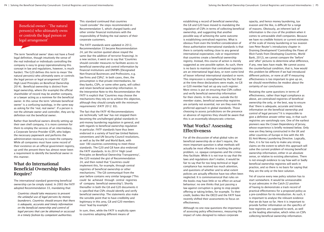Beneficial owner - 'The natural person(s) who ultimately owns or controls the legal person or legal arrangement'

The term 'beneficial owner' does not have a fixed legal definition, though intuitively the sense of the real individual or individuals controlling the company is easy to grasp (operationalising this concept in law and regulations, however, is much harder). The G20 defines this term to mean 'the natural person(s) who ultimately owns or controls the legal person or legal arrangement' (G20 High Level Principles on Beneficial Ownership 2014). Beneficial ownership is distinct from legal ownership, where (for example) the official shareholder of record may be another company, or a lawyer acting as a nominee for the beneficial owner. In this sense the term 'ultimate beneficial owner' is a confusing tautology, in the same way as asking for the 'real, real owner'. If a person is not the ultimate owner and controller, they are by definition not the beneficial owner.

Rather than beneficial owners directly setting up their own shell company, it is more common for them to employ the services of an intermediary, a Corporate Service Provider (CSP), who lodges the necessary paperwork and performs the administration necessary to create the company. While all companies must have some record of their existence on an official government registry, up until the present there has almost never been a requirement to identify the beneficial owner in this manner.

### What do International Beneficial Ownership Rules Require?

The international standard governing beneficial ownership can be simply stated. In 2003 the FATF adopted Recommendation 33, mandating that:

*Countries should take measures to prevent the unlawful use of legal persons by money launderers. Countries should ensure that there is adequate, accurate and timely information on the beneficial ownership and control of legal persons that can be obtained or accessed in a timely fashion by competent authorities.* 

This standard continued that countries 'could consider' the steps recommended in Recommendation 5, which charged banks and other similar financial institutions with the responsibility of finding the real owners of their corporate customers.

The FATF standards were updated in 2012, Recommendation 33 became Recommendation 24, yet the section quoted above stayed the same (bar the addition of terrorist financing). In a new section, it went on to say that 'Countries should consider measures to facilitate access to beneficial ownership and control information by financial institutions and DNFBPs [Designated Non-financial Businesses and Professions, e.g. law firms and CSPs]'. In both cases, then, the presumption is that private intermediaries, be they banks, CSPs, or some other party, will collect and retain beneficial ownership information. In the Interpretive Note to this Recommendation the FATF is explicit that 'Countries may choose the mechanisms they rely on to achieve this objective, although they should comply with the minimum requirements' (FATF 2012: 83).

The fact that the FATF 40 Recommendations are technically 'soft law' has not stopped them becoming the unchallenged global standards in anti-money laundering regulation in general, and with regards to beneficial ownership regulation in particular. FATF standards have thus been endorsed in a variety of hard law United Nations conventions and UN Security Council resolutions, as well as by the IMF and World Bank, with over 180 countries committing to meet these standards. The G20 and G8 have also endorsed the FATF standards. In its 2014 'High Level Principles on Beneficial Ownership Transparency', the G20 restated the gist of Recommendation 24, and then noted that 'Countries could implement this, for example, through central registries of beneficial ownership or other mechanisms.' The G8 communiqué from the year before contains very similar language ('This could be achieved through central registries of company beneficial ownership'). Shortly thereafter in both the G8 and G20 documents it is specified that CSPs should identify and verify beneficial ownership. The statements also make the sensible point that to have credibility and legitimacy in this area, G8 and G20 members must 'lead by example'.

In sum, then, while the FATF is explicitly open to countries adopting different means of

establishing a record of beneficial ownership, the G8 and G20 have moved to mandating the regulation of CSPs in terms of collecting beneficial ownership, and suggesting that another possible way of achieving the same outcome is establishing centralised registries. What is obvious from even the briefest consideration of these authoritative international standards is that there is certainly nothing close to any general international expectation, rule or requirement that countries create a beneficial ownership registry. Instead, this course of action is merely suggested as one possible option. As such, there is no basis to maintain that centralised registries are an international legal duty, or even some kind of looser informal international standard or norm. This impression is strengthened by the fact that at the time these declarations were made, no G8 or G20 member had set up any such register. More stress is put on ensuring that CSPs collect and verify beneficial ownership information for their clients. In this sense, outside the EU member states, beneficial ownership registries are certainly not essential, nor are they even the preferred approach in global standards. Those choosing to assess jurisdictions on the presence or absence of registries they should be aware that this is an essentially idiosyncratic criterion.

### What Works? Assessing **Effectiveness**

For all the discussion of what global rules on beneficial ownership do or don't require, the more important question is what methods will actually be most effective in tackling the policy problem, i.e. opaque companies and the crimes they facilitate. While it is not true to say that the laws and regulations don't matter, it would be fair to say that for too long technical or legal compliance has received too much attention, and questions of whether and to what extent policies are actually effective have too often been neglected. It is commonsensical that rules on the books may have little or no effect on actual behaviour; no one thinks that just passing a law against corruption is going to stop people offering or taking bribes, for example. To their credit, bodies like the OECD and the FATF have recently shifted their assessments to focus on effectiveness.

Although no one now questions the importance of assessing policy effectiveness, measuring the impact of rules designed to reduce corporate

opacity, and hence money laundering, tax evasion and the like, is difficult for a range of reasons. Obviously, an inherent lack of information is the crux of the problem when it comes to untraceable shell companies. Because we have no credible historic or current estimates of the scale of money laundering or tax evasion (see Peter Reuter's introductory chapter in Draining Development? Controlling the Flows of Illicit Funds from Developing Countries, World Bank, 2012), we cannot compare the 'before' and 'after' pictures to determine what difference, if any, new laws have made. We cannot assess the counterfactual condition, that is, how would this problem be different if we had introduced different policies, or none at all? If measuring effectiveness is too important to give up on, we should nevertheless be modest about the certainty of our conclusions.

Restating the same questions in terms of effectiveness, rather than legal compliance as above, are centralised registries of beneficial ownership the only, or the best, way to ensure that 'there is adequate, accurate and timely information on the beneficial ownership and control of legal persons'? It is impossible to give a definitive answer either way, in that such registries are vanishingly rare. One of the earliest pioneers was the Crown Dependency of Jersey, whose experience is briefly reviewed below. Only now are they being constructed in the UK and other countries of Europe in line with the 4th EU Anti-Money Laundering Directive. Logically, then, it is far too early to make any strong claims on the extent to which this approach will solve the current problem of missing beneficial ownership information, either in an absolute sense, or relative to existing alternatives. There is not enough evidence to say how well or badly beneficial ownership registries will work in practice, and so there is no basis for saying that they are the only or the best solution.

Yet of course every new policy solution has to start somewhere. It would be unreasonable to put advocates in the Catch-22 position of having to demonstrate a track record of practical effectiveness for a proposed policy as a pre-condition for its introduction. As such, it is important to analyse the relevant evidence that we do have so far. Here it is important to provide further information on the specifics of how registries are supposed to work, as well as the leading alternative, which relies on CSPs collecting beneficial ownership information.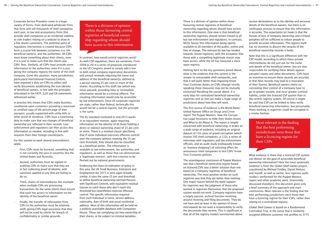Corporate Service Providers come in a huge variety of forms, from dedicated wholesale firms that form and sell thousands of shell companies each year, to law and accountancy firms that provide shell companies as an incidental sideline, to sole traders relying on a website to draw in a few dozen customers. The potential point of regulatory intervention is created because CSPs form a crucial link between customers (i.e. the beneficial owners), and the authorities. All CSPs must know something about their clients, even if it is just to make sure that the clients pay CSPs' fees. Similarly, all CSPs must provide some information to the authorities, even if it is just giving the company registry the name of the shell company. Given this position, many jurisdictions, particularly International Financial Centres, have imposed a duty on CSPs to collect and verify documents establishing the true identity of beneficial owners, in line with the principles articulated in the FATF, G20 and G8 statements referenced earlier.

In practice this means that CSPs make business conditional upon customers providing a notarised or certified copy of the picture page of their passport, usually supported with utility bills or other proof of residence. CSPs have a continuing duty to make sure that any changes of beneficial ownership are reflected in their records. Law enforcement and regulators can then access this information as needed, including in line with requests from their foreign counterparts.

For this system to work several preconditions apply.

- First, CSPs must be licenced, something that is not currently the case in countries like the United States and Australia.
- Second, authorities must be vigilant in auditing CSPs to make sure that they are in fact collecting proof of identity, with sanctions applied to any that are failing to do so.
- Third, chains of intermediaries (for example when multiple CSPs are processing transactions for the same client) must ensure that each has access to information on the identity of the beneficial owner.
- Finally, the transfer of information from CSPs to the authorities must be relatively swift, giving CSPs legal assurance that they will not be sued by clients for breach of confidentiality or similar grounds.

There is a division of opinion within those favouring central registries of beneficial ownership regarding whom should have access to this information

In contrast, how would central registries work? As with CSP regulation, there are variations. From 2008 to 2014 a series of proposals introduced to the US Congress aimed to simply add a line to both initial company registration documents and annual renewals requiring the name and address of the beneficial owner(s), defined as a person owning 25 per cent or more of the shares. According to this draft law (which was never passed), providing false or incomplete information would be a criminal offence. The resulting information would only be accessible by law enforcement. Since US corporate registries are state, rather than federal, technically this would not be a central registry, but the principle is the same.

The EU standard instituted in mid-2015 works in an equivalent manner, again requiring information on the identity of all those holding a direct or indirect ownership share of 25 per cent or more. There is a residual clause specifying that if some individual exercises effective control over the company without meeting the 25 per cent threshold, they should also be classified as a beneficial owner. The information is available to law enforcement, tax authorities and regulators, as well as those that can demonstrate a 'legitimate interest', with this criterion to be fleshed out by national governments.

Evidencing the close co-ordination of policy in this area, the UK Small Business, Enterprise and Employment Act 2015 is once again broadly similar. It uses the same 25 per cent threshold to define beneficial ownership (termed Persons with Significant Control), with equivalent residual clauses to catch those who don't reach this threshold but nevertheless exercise effective control. The specific information required from each individual is name, service address, nationality, date of birth and usual residential address. Most of this information will be held on a publicly searchable database with Companies House. Those not complying can lose ownership of their shares, or be subject to criminal penalties.

There is a division of opinion within those favouring central registries of beneficial ownership regarding whom should have access to this information. One view is that beneficial ownership registries should remain closed to all but law enforcement and regulators. In contrast, NGOs favour this information being openly available to all members of the public, online and free of charge. The relevant EU law has tended towards closed registries, with the exception that those with a compelling legitimate reason may have access, while the UK has favoured a more open registry.

Harking back to the key questions posed above, what is the evidence that this system is the answer to untraceable shell companies, and that it will work better than imposing Know Your Customer duties on CSPs (though strictly speaking these measures may not be mutually exclusive)? Recalling the caveat above, it is early days for centralised beneficial ownership registries and so one can make a huge range of predictions about how they will work.

The first source of evidence is the World Bank/ United Nations Office on Drugs and Crime report The Puppet Masters: How the Corrupt Use Legal Structures to Hide their Stolen Assets and What to do About It. The report is largely concerned with beneficial ownership, it draws on a wide range of evidence, including an original dataset of 150 cases of grand corruption (which involve 593 shell companies, p.122), a series of interviews with regulators and law enforcement officials, and an audit study (colloquially known as 'mystery shopping') of soliciting offers for anonymous shell companies to test CSPs' Know Your Customer policies.

The unambiguous conclusion of Puppet Masters was that a beneficial ownership regime based on licenced CSPs was a better solution than one based on a company registries of beneficial ownership. The most positive verdict on such registries was that they are better than nothing. One major reason behind the tepid support for registries was the judgment of those who worked in registries themselves that the proposed system would not work. Company registries have a largely passive, archival function revolving around receiving and filing documents. They do not have and (at least in the opinion of those interviewed) do not want a responsibility to verify the documents they receive. This is significant in that all of the registry models summarised above

receive declarations as to the identity and personal details of the beneficial owners, but there is no verification process to ensure that this information is accurate. The expectation (or hope) is that the threats of loss of company ownership and criminal penalties will be sufficient to induce people to provide accurate information. The registry itself has no incentive to discern the veracity of the beneficial ownership records it holds.

Note that this is a significant difference with the CSP model, according to which these private intermediaries do not just ask for the name and details of the beneficial owner, but are also responsible for verifying these details against passport copies and other documents. CSPs have an incentive to ensure these records are accurate, in that false records may lead to a revocation of their licence. Beneficial owners intent on concealing their control of a company have to go to greater trouble, and incur greater criminal liability, under the licenced CSP system than in the central registry system. Of course it might be said that CSP can be bribed to false verify beneficial ownership information, but presumably those working in registries could be corrupted in a similar fashion.

> Most relevant is the finding that the best performing jurisdictions were those that have a licencing regime for their CSPs

What evidence is there that a licenced CSP system can deliver on the goal of accessible beneficial ownership information? Here the most systematic evidence is from the *Global Shell Games* project, coauthored by Michael Findley, Daniel Nielson and myself, as well as earlier, less rigorous audit studies I performed for the Puppet Masters report and other academic work. Extensively discussed elsewhere, this document gives only a brief summary of the approach and main conclusions. Most relevant is the finding that the best performing jurisdictions were those that have a licencing regime for their CSPs, rather than relying on a centralised registry.

*Global Shell Games* is based on a Randomised Controlled Trial, in the sense that it randomly assigned different customer risk profiles to 3773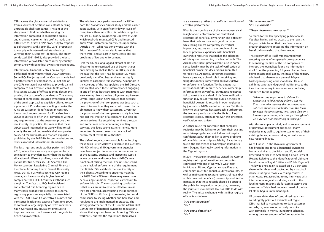CSPs across the globe via email solicitations from a variety of fictitious consultants seeking untraceable shell companies. The aim of the study was to find out whether varying the information contained in solicitation emails and changing customer risk profiles made any difference to, firstly, CSPs' propensity to respond to solicitations, and, secondly, CSPs' propensity to comply with international standards by verifying their customers' identities. The study, conducted 2011-2012, also provided the best information yet available on country-by-country compliance with beneficial ownership regulations.

International Financial Centres on average performed notably better than OECD countries. Some IFCs like Jersey and the Cayman Islands had a perfect record of compliance, i.e. not one of the CSPs contacted was willing to provide a shell company to our fictitious consultants without first seeing a suite of official identity documents proving the customer's true identity. This strong record of compliance occurred even when some of the email approaches explicitly offered to pay a premium if Providers were willing to waive the rules on customer identification. In contrast, it was much more common for Providers from OECD countries to offer shell companies without any requirement that the customer prove their real identity. In practice, this means that these OECD-based intermediaries were willing to sell exactly the sort of untraceable shell companies so useful for criminals, and that are explicitly prohibited by the FATF 40 Recommendations and other associated international standards.

The less rigorous audit studies performed 2009- 2010, where there was only a single, uniform solicitation to Providers rather than the random allocation of different profiles, show a similar picture (for full details see J.C. Sharman The Money Laundry: Regulating Criminal Finance in the Global Economy Ithaca: Cornell University Press, 2011). IFCs with a licenced CSP regime once again have a notably higher level of compliance than OECD countries without such a regime. The fact that IFCs had legislated and enforced CSP licencing regime can in many cases probably be ascribed to external regulatory pressure, especially that associated with the FATF's Non-Co-operative Countries and Territories blacklisting exercise from June 2000. In contrast, a large majority of OECD members has never faced any equivalent pressure to improve their own performance with regards to beneficial ownership.

The relatively poor performance of the UK in both the *Global Shell Games* study and the earlier audit studies, with significantly lower levels of compliance than most IFCs, is notable in light of the 3rd EU Money Laundering Directive of 2005 which explicitly regulated CSPs and imposed Know Your Customer requirements upon them (Article 3(7)). What has gone wrong with the British system? Provisionally, it seems that there were, and at least in some cases still are, problems of law and enforcement.

First the UK has long lagged almost all IFCs in allowing the unrestricted use of bearer shares, only moving to abolish these in 2015, despite the fact that the FATF had for almost 20 years previously identified bearer shares as highly inimical to corporate transparency. A loophole in the coverage of the law applying the 3rd Directive was created when those intermediaries engaging in one-off or ad hoc transactions with customers were exempt from the due diligence requirement. Several large British CSPs argued that because the provision of shell companies was just such a one-off transaction, they were not covered by the obligation to know their customers. Given that the provision of shell companies usually involves not just the creation of a company, but also ongoing services like supplying nominee directors and sometimes other continuing auxiliary services, this logic seems rather strained. More important, however, seems to be a lack of enforcement by the UK authorities.

The default regulator responsible for enforcing these rules is Her Majesty's Revenue and Customs (HMRC). Almost all UK government agencies have been subject to extensive cut-backs as part of the austerity agenda, and inspecting CSPs is in any case some distance from HMRC's core function of raising revenue. The up-shot seems to be a lack of enforcement of the requirement that British CSPs establish the true identity of their clients. According to enquiries made by the NGO Global Witness, there may never have been a single audit or inspection carried out to enforce this rule. The unsurprising conclusion is that rules are unlikely to be effective unless they are enforced, accentuating the importance of the FATF's shift from just assessing technical compliance to seeing whether and how laws and regulations are implemented in practice. The strong performance of the IFCs in the *Global Shell Games* test of beneficial ownership regulations shows that a system based on licencing CSPs can work well, but that the regulations themselves

are a necessary rather than sufficient condition of effective performance.

What is the significance of this commonsensical insight about enforcement for centralised registries of beneficial ownership? The difficulty here, that policies may look good on paper while being almost completely ineffectual in practice, returns us to the problem of the lack of practical experience with beneficial ownership registries that makes the adoption of this system something of a leap of faith. The Achilles heel here, practically but also in some sense legally, may be the lack of verification of beneficial ownership declarations submitted to registries. As noted, corporate registries have a passive, archival role in receiving and filing documents, rather than an investigative or enforcement function. To the extent that international rules require beneficial ownership information to be verified, centralised registries fail to meet this standard. A de facto verification function may result from the public scrutiny of beneficial ownership records in open registries by journalists, NGOs and other parties. Yet this is likely to be a very ad hoc approach. Furthermore, the tendency so far outside the UK is to keep registries closed, attenuating even this uncertain verification mechanism.

A further cause for concern is that company registries may be failing to perform their existing record-keeping duties, which does not inspire confidence about their ability to solve problems of beneficial ownership availability. A cautionary tale is the experience of Norwegian journalists from Dagens Næringsliv seeking information in the Cypriot registry.

In 2011 Norwegian journalists visited the Cypriot registry seeking information on companies connected with one of Norway's wealthiest individuals. EU and Cypriot law specifies that companies must file annual, audited accounts, as well as maintaining accurate records of legal (but at this time not beneficial) ownership, and further mandates that these records should be open to the public for inspection. In practice, however, the journalists found that law has little to do with reality. The initial exchange with the first registry official is as follows:

*"Are you the police?" "No."*

*"Are you a detective?" "No."*

#### *"But who are you?" "I'm a journalist."*

#### *"These documents are secret."*

So much for the law specifying public access. Yet after having gained access to the registry, the journalists found that they faced a much greater obstacle to accessing the information on beneficial ownership that they needed.

The registry office itself was swamped with teetering stacks of unopened correspondence. In searching the files of the 30 companies of interest, the journalists found no information at all from the preceding 11 years. Rather than being exceptional lapses, the head of the registry admitted that there was a general 10-year backlog in opening correspondence. He also exhibited a notable degree of indifference to the idea that necessary information was not being submitted to the registry:

"*When a company comes to deliver its accounts it is followed by a form. But the Treasurer who receives the document does not care about what actually is on the form. So when the time comes, two, three, five, or a hundred years later, when we go through this, we may see that something is missing."*

With this example in mind, and in an environment of pervasive government cut-backs, many registries may well struggle to stay on top of their existing duties, let alone taking on substantial new responsibilities.

As of June 2015 the Ukrainian government has brought into force a beneficial ownership law very similar to the British and EU model described earlier ('On Amending Certain Laws of Ukraine Relating to the Identification of Ultimate Beneficiaries of Legal Entities and Public Figures'). The law is once again is based on a 25 per cent shareholder threshold backed up by a catch-all clause relating to those exercising control in other ways. Yet according to my interviews with international regulators, during a visit to the local ministry responsible for administering this measure, officials had not even heard of the law, let alone begun implementing it.

Of course, defenders of centralised registries could rightly point out examples of rogue CSPs that fail to maintain up-to-date customer records, or, even worse, actively conspire with criminals in money laundering schemes. Among the vast amount of information in the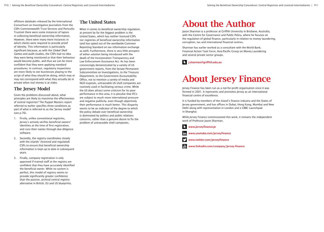offshore dataleaks released by the International Consortium on Investigative Journalists from the CSPs Commonwealth Trust Services and Portcullis Trustnet there were some instances of lapses in collecting beneficial ownership information. However, there were many more instances in which clients were required to provide proof of identity. This information is particularly significant because, as with the *Global Shell Games* and audit studies, the CSPs had no idea they were being monitored or that their behaviour would become public, and thus we can be more confident that they were applying standard procedures. In contrast, regulatory inspections are more likely to see businesses playing to the script of what they should be doing, which may or may not correspond with what they actually do in private when real money is at stake.

### The Jersey Model

Given the problems discussed above, what principles are likely to maximise the effectiveness of central registries? The Puppet Masters report referred to earlier specifies three conditions as part of what is referred to as the 'Jersey model' (see p.76).

- 1. Firstly, unlike conventional registries, Jersey's actively verifies beneficial owners' identities at the time of first registration, and runs their names through due diligence software.
- 2. Secondly, the registry coordinates closely with the islands' (licenced and regulated) CSPs to ensure that beneficial ownership information is kept up to date in subsequent years.
- 3. Finally, company registration is only approved if trained staff at the registry are confident that they have accurately identified the beneficial owner. While no system is perfect, this model of registry seems to provide significantly greater confidence than the passive, archival central registry alternative in British, EU and US blueprints.

### The United States

When it comes to beneficial ownership regulation, at present by far the biggest problem is the United States, which has neither licenced CSPs nor registries of beneficial ownership information (and has opted out of the worldwide Common Reporting Standard on tax information exchange as well). Furthermore, there is very little prospect of either solution being introduced with the death of the Incorporation Transparency and Law Enforcement Assistance Act. As has been convincingly demonstrated by a variety of US government reports, from the Senate Permanent Subcommittee on Investigations, to the Treasury Department, to the Government Accountability Office, not to mention a variety of media and NGO exposés, untraceable US shell companies are routinely used in facilitating serious crime. While the US does attract some criticism for its poor performance in this area, it is peculiar that IFCs are subject to much more international pressure and negative publicity, even though objectively their performance is much better. This disparity seems to be an indicator of the degree to which the policy debate over beneficial ownership is dominated by politics and public relations concerns, rather than a genuine desire to fix the problem of untraceable shell companies.

## About the Author

Jason Sharman is a professor at Griffith University in Brisbane, Australia, with the Centre for Governance and Public Policy, where he focuses on the regulation of global finance, particularly in relation to money laundering, corruption, tax and international financial centres.

Sharman has earlier worked as a consultant with the World Bank, Financial Action Task Force, Asia-Pacific Group on Money Laundering and several private sector groups.



## About Jersey Finance

Jersey Finance has been run as a not-for-profit organisation since it was formed in 2001. It represents and promotes Jersey as an international financial centre of excellence.

It is funded by members of the Island's finance industry and the States of Jersey government, and has offices in Dubai, Hong Kong, Mumbai and New Delhi along with representation in London and a CBBC Launchpad in Shanghai.

While Jersey Finance commissioned this work, it remains the independent work of Professor Jason Sharman.



**WWW.jerseyfinance.je** 



www.twitter.com/jerseyfinance

www.linkedin.com/company/jersey-finance